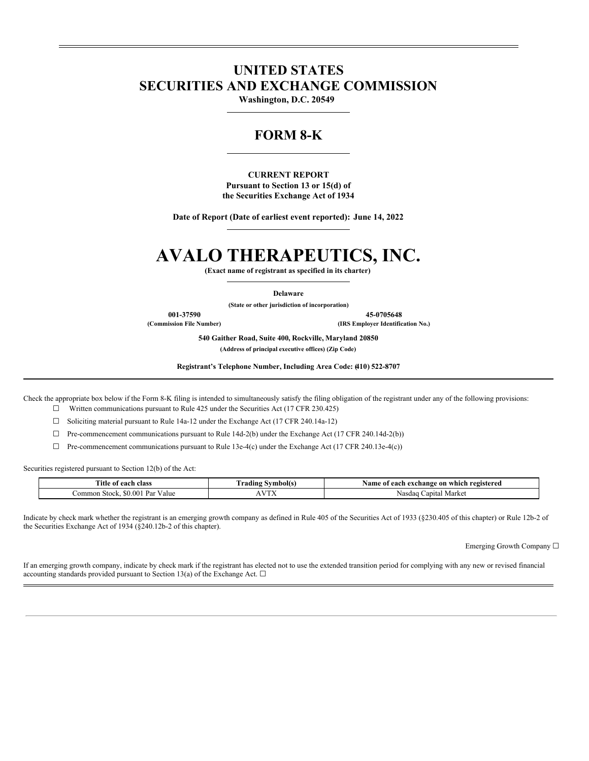# **UNITED STATES SECURITIES AND EXCHANGE COMMISSION**

**Washington, D.C. 20549**

# **FORM 8-K**

**CURRENT REPORT Pursuant to Section 13 or 15(d) of the Securities Exchange Act of 1934**

**Date of Report (Date of earliest event reported): June 14, 2022**

# **AVALO THERAPEUTICS, INC.**

**(Exact name of registrant as specified in its charter)**

**Delaware**

**(State or other jurisdiction of incorporation)**

**001-37590 45-0705648**

**(Commission File Number) (IRS Employer Identification No.)**

**540 Gaither Road, Suite 400, Rockville, Maryland 20850**

**(Address of principal executive offices) (Zip Code)**

**Registrant's Telephone Number, Including Area Code: (410) 522-8707**

Check the appropriate box below if the Form 8-K filing is intended to simultaneously satisfy the filing obligation of the registrant under any of the following provisions:  $\Box$  Written communications pursuant to Rule 425 under the Securities Act (17 CFR 230.425)

 $\Box$  Soliciting material pursuant to Rule 14a-12 under the Exchange Act (17 CFR 240.14a-12)

 $\Box$  Pre-commencement communications pursuant to Rule 14d-2(b) under the Exchange Act (17 CFR 240.14d-2(b))

 $\Box$  Pre-commencement communications pursuant to Rule 13e-4(c) under the Exchange Act (17 CFR 240.13e-4(c))

Securities registered pursuant to Section 12(b) of the Act:

| <b>Title of</b><br>class<br>each                  | mbol(s<br>`radıno<br>. | registered<br>ı exchange<br>: on<br>vame<br>ı which<br>each<br>- ot |
|---------------------------------------------------|------------------------|---------------------------------------------------------------------|
| \$0.00<br>ommon<br>レヘャ<br>Value<br>Stock.<br>' ar | $ -$<br>.              | Market<br>anital<br>' vast                                          |

Indicate by check mark whether the registrant is an emerging growth company as defined in Rule 405 of the Securities Act of 1933 (§230.405 of this chapter) or Rule 12b-2 of the Securities Exchange Act of 1934 (§240.12b-2 of this chapter).

Emerging Growth Company ☐

If an emerging growth company, indicate by check mark if the registrant has elected not to use the extended transition period for complying with any new or revised financial accounting standards provided pursuant to Section 13(a) of the Exchange Act.  $\square$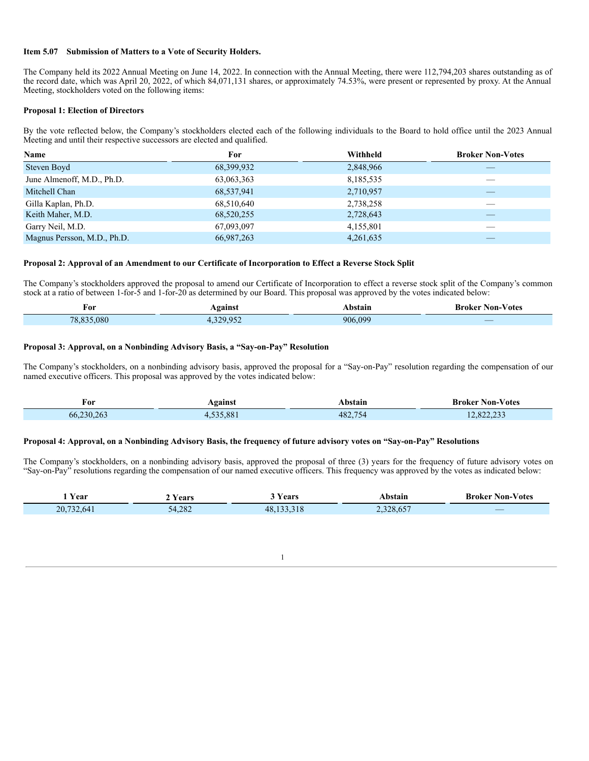#### **Item 5.07 Submission of Matters to a Vote of Security Holders.**

The Company held its 2022 Annual Meeting on June 14, 2022. In connection with the Annual Meeting, there were 112,794,203 shares outstanding as of the record date, which was April 20, 2022, of which 84,071,131 shares, or approximately 74.53%, were present or represented by proxy. At the Annual Meeting, stockholders voted on the following items:

#### **Proposal 1: Election of Directors**

By the vote reflected below, the Company's stockholders elected each of the following individuals to the Board to hold office until the 2023 Annual Meeting and until their respective successors are elected and qualified.

| Name                        | For        | Withheld  | <b>Broker Non-Votes</b> |
|-----------------------------|------------|-----------|-------------------------|
| Steven Boyd                 | 68,399,932 | 2,848,966 | __                      |
| June Almenoff, M.D., Ph.D.  | 63,063,363 | 8,185,535 |                         |
| Mitchell Chan               | 68,537,941 | 2,710,957 |                         |
| Gilla Kaplan, Ph.D.         | 68,510,640 | 2,738,258 |                         |
| Keith Maher, M.D.           | 68,520,255 | 2,728,643 |                         |
| Garry Neil, M.D.            | 67,093,097 | 4,155,801 |                         |
| Magnus Persson, M.D., Ph.D. | 66,987,263 | 4,261,635 |                         |

#### **Proposal 2: Approval of an Amendment to our Certificate of Incorporation to Effect a Reverse Stock Split**

The Company's stockholders approved the proposal to amend our Certificate of Incorporation to effect a reverse stock split of the Company's common stock at a ratio of between 1-for-5 and 1-for-20 as determined by our Board. This proposal was approved by the votes indicated below:

| For                    | oainst<br>. <del>.</del><br>- - |         | ⁄ otes<br>lon-<br>. .<br><b>AIZAR</b> |
|------------------------|---------------------------------|---------|---------------------------------------|
| .080<br>ה הי<br>$\sim$ | $\bigcap$                       | 906.099 | $\overline{\phantom{a}}$              |

#### **Proposal 3: Approval, on a Nonbinding Advisory Basis, a "Say-on-Pay" Resolution**

The Company's stockholders, on a nonbinding advisory basis, approved the proposal for a "Say-on-Pay" resolution regarding the compensation of our named executive officers. This proposal was approved by the votes indicated below:

| For               | Against      | ⊾bstain      | $\sim$ 1<br>∙ Non-∨otes<br>Broker<br>. |
|-------------------|--------------|--------------|----------------------------------------|
| $-230.263$<br>66. | E2E001<br>ററ | 482.75<br>℩∠ | 0.22.22<br>$\sim$<br>. 04.4.79         |

#### Proposal 4: Approval, on a Nonbinding Advisory Basis, the frequency of future advisory votes on "Say-on-Pay" Resolutions

The Company's stockholders, on a nonbinding advisory basis, approved the proposal of three (3) years for the frequency of future advisory votes on "Say-on-Pay" resolutions regarding the compensation of our named executive officers. This frequency was approved by the votes as indicated below:

| Y ear                | ′ears             | ears | Non-<br>∕ otes<br>Kroker<br>. |
|----------------------|-------------------|------|-------------------------------|
| 20.7<br>$\mathbf{L}$ | 4.282<br>$\Delta$ |      | $\overline{\phantom{a}}$      |

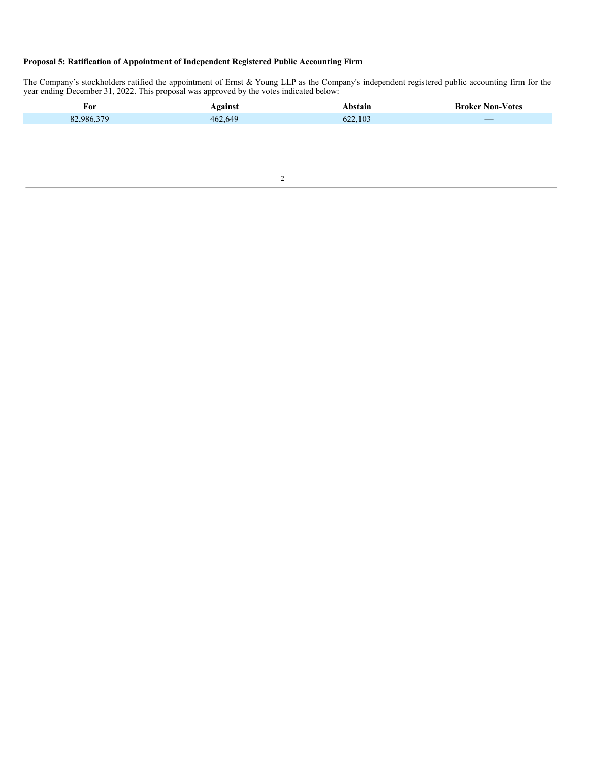## **Proposal 5: Ratification of Appointment of Independent Registered Public Accounting Firm**

The Company's stockholders ratified the appointment of Ernst & Young LLP as the Company's independent registered public accounting firm for the year ending December 31, 2022. This proposal was approved by the votes indicated below:

| For             | aainc   | иш                    | lon<br>'otes<br>A ZAP    |
|-----------------|---------|-----------------------|--------------------------|
| $\Omega$<br>986 | 462.649 | 10 <sup>3</sup><br>ຳາ | $\overline{\phantom{a}}$ |
|                 |         |                       |                          |